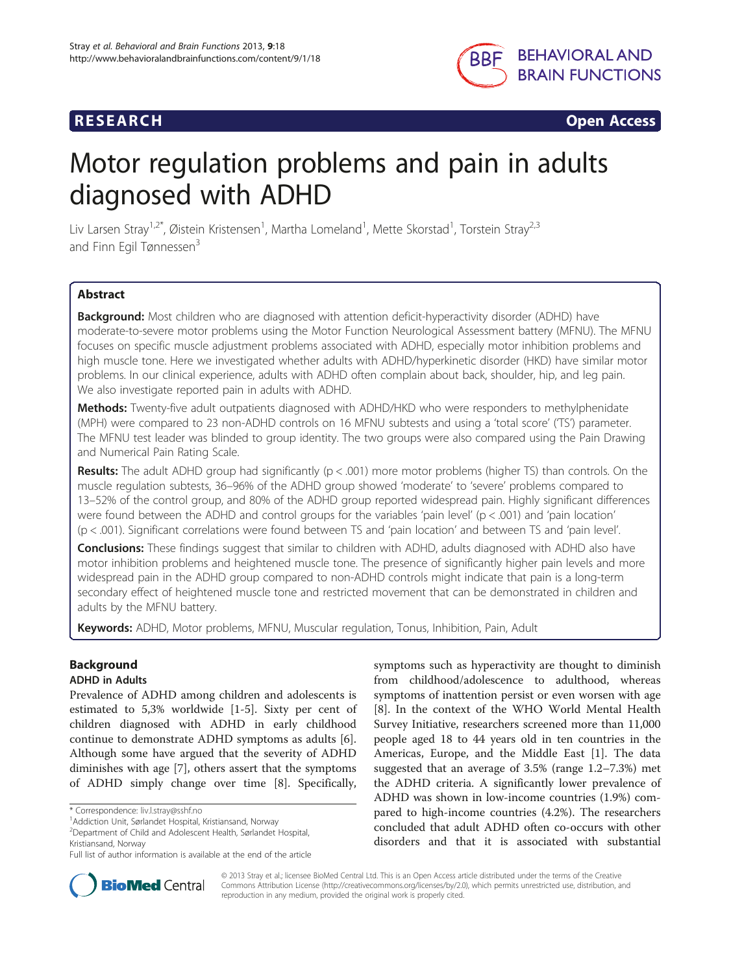# **RESEARCH RESEARCH CONSUMING ACCESS**



# Motor regulation problems and pain in adults diagnosed with ADHD

Liv Larsen Stray<sup>1,2\*</sup>, Øistein Kristensen<sup>1</sup>, Martha Lomeland<sup>1</sup>, Mette Skorstad<sup>1</sup>, Torstein Stray<sup>2,3</sup> and Finn Egil Tønnessen<sup>3</sup>

# Abstract

Background: Most children who are diagnosed with attention deficit-hyperactivity disorder (ADHD) have moderate-to-severe motor problems using the Motor Function Neurological Assessment battery (MFNU). The MFNU focuses on specific muscle adjustment problems associated with ADHD, especially motor inhibition problems and high muscle tone. Here we investigated whether adults with ADHD/hyperkinetic disorder (HKD) have similar motor problems. In our clinical experience, adults with ADHD often complain about back, shoulder, hip, and leg pain. We also investigate reported pain in adults with ADHD.

Methods: Twenty-five adult outpatients diagnosed with ADHD/HKD who were responders to methylphenidate (MPH) were compared to 23 non-ADHD controls on 16 MFNU subtests and using a 'total score' ('TS') parameter. The MFNU test leader was blinded to group identity. The two groups were also compared using the Pain Drawing and Numerical Pain Rating Scale.

**Results:** The adult ADHD group had significantly ( $p < .001$ ) more motor problems (higher TS) than controls. On the muscle regulation subtests, 36–96% of the ADHD group showed 'moderate' to 'severe' problems compared to 13–52% of the control group, and 80% of the ADHD group reported widespread pain. Highly significant differences were found between the ADHD and control groups for the variables 'pain level' ( $p < .001$ ) and 'pain location' (p < .001). Significant correlations were found between TS and 'pain location' and between TS and 'pain level'.

**Conclusions:** These findings suggest that similar to children with ADHD, adults diagnosed with ADHD also have motor inhibition problems and heightened muscle tone. The presence of significantly higher pain levels and more widespread pain in the ADHD group compared to non-ADHD controls might indicate that pain is a long-term secondary effect of heightened muscle tone and restricted movement that can be demonstrated in children and adults by the MFNU battery.

Keywords: ADHD, Motor problems, MFNU, Muscular regulation, Tonus, Inhibition, Pain, Adult

# **Background**

#### ADHD in Adults

Prevalence of ADHD among children and adolescents is estimated to 5,3% worldwide [[1-5](#page-7-0)]. Sixty per cent of children diagnosed with ADHD in early childhood continue to demonstrate ADHD symptoms as adults [\[6](#page-7-0)]. Although some have argued that the severity of ADHD diminishes with age [[7\]](#page-7-0), others assert that the symptoms of ADHD simply change over time [\[8](#page-7-0)]. Specifically,

symptoms such as hyperactivity are thought to diminish from childhood/adolescence to adulthood, whereas symptoms of inattention persist or even worsen with age [[8\]](#page-7-0). In the context of the WHO World Mental Health Survey Initiative, researchers screened more than 11,000 people aged 18 to 44 years old in ten countries in the Americas, Europe, and the Middle East [[1\]](#page-7-0). The data suggested that an average of 3.5% (range 1.2–7.3%) met the ADHD criteria. A significantly lower prevalence of ADHD was shown in low-income countries (1.9%) compared to high-income countries (4.2%). The researchers concluded that adult ADHD often co-occurs with other disorders and that it is associated with substantial



© 2013 Stray et al.; licensee BioMed Central Ltd. This is an Open Access article distributed under the terms of the Creative Commons Attribution License [\(http://creativecommons.org/licenses/by/2.0\)](http://creativecommons.org/licenses/by/2.0), which permits unrestricted use, distribution, and reproduction in any medium, provided the original work is properly cited.

<sup>\*</sup> Correspondence: [liv.l.stray@sshf.no](mailto:liv.l.stray@sshf.no) <sup>1</sup>

<sup>&</sup>lt;sup>1</sup> Addiction Unit, Sørlandet Hospital, Kristiansand, Norway

<sup>2</sup> Department of Child and Adolescent Health, Sørlandet Hospital, Kristiansand, Norway

Full list of author information is available at the end of the article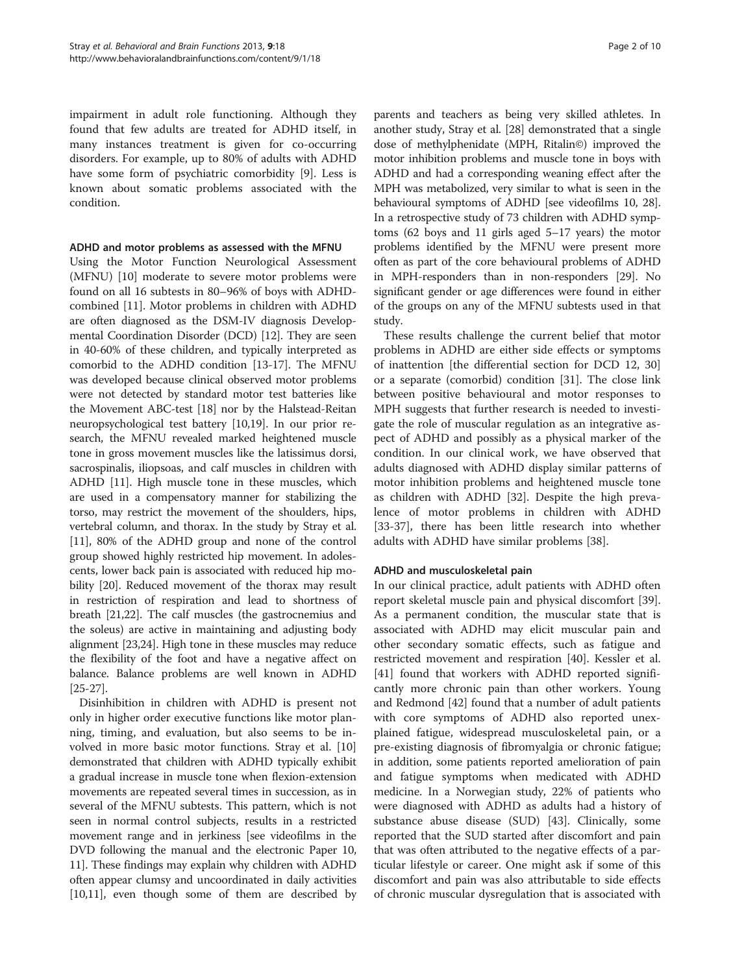impairment in adult role functioning. Although they found that few adults are treated for ADHD itself, in many instances treatment is given for co-occurring disorders. For example, up to 80% of adults with ADHD have some form of psychiatric comorbidity [[9\]](#page-7-0). Less is known about somatic problems associated with the condition.

#### ADHD and motor problems as assessed with the MFNU

Using the Motor Function Neurological Assessment (MFNU) [\[10\]](#page-8-0) moderate to severe motor problems were found on all 16 subtests in 80–96% of boys with ADHDcombined [[11](#page-8-0)]. Motor problems in children with ADHD are often diagnosed as the DSM-IV diagnosis Developmental Coordination Disorder (DCD) [[12](#page-8-0)]. They are seen in 40-60% of these children, and typically interpreted as comorbid to the ADHD condition [\[13-17\]](#page-8-0). The MFNU was developed because clinical observed motor problems were not detected by standard motor test batteries like the Movement ABC-test [[18](#page-8-0)] nor by the Halstead-Reitan neuropsychological test battery [\[10,19](#page-8-0)]. In our prior research, the MFNU revealed marked heightened muscle tone in gross movement muscles like the latissimus dorsi, sacrospinalis, iliopsoas, and calf muscles in children with ADHD [[11](#page-8-0)]. High muscle tone in these muscles, which are used in a compensatory manner for stabilizing the torso, may restrict the movement of the shoulders, hips, vertebral column, and thorax. In the study by Stray et al. [[11](#page-8-0)], 80% of the ADHD group and none of the control group showed highly restricted hip movement. In adolescents, lower back pain is associated with reduced hip mobility [[20](#page-8-0)]. Reduced movement of the thorax may result in restriction of respiration and lead to shortness of breath [\[21,22\]](#page-8-0). The calf muscles (the gastrocnemius and the soleus) are active in maintaining and adjusting body alignment [[23,24](#page-8-0)]. High tone in these muscles may reduce the flexibility of the foot and have a negative affect on balance. Balance problems are well known in ADHD [[25](#page-8-0)-[27\]](#page-8-0).

Disinhibition in children with ADHD is present not only in higher order executive functions like motor planning, timing, and evaluation, but also seems to be involved in more basic motor functions. Stray et al. [[10](#page-8-0)] demonstrated that children with ADHD typically exhibit a gradual increase in muscle tone when flexion-extension movements are repeated several times in succession, as in several of the MFNU subtests. This pattern, which is not seen in normal control subjects, results in a restricted movement range and in jerkiness [see videofilms in the DVD following the manual and the electronic Paper 10, 11]. These findings may explain why children with ADHD often appear clumsy and uncoordinated in daily activities [[10,11](#page-8-0)], even though some of them are described by

parents and teachers as being very skilled athletes. In another study, Stray et al. [[28](#page-8-0)] demonstrated that a single dose of methylphenidate (MPH, Ritalin©) improved the motor inhibition problems and muscle tone in boys with ADHD and had a corresponding weaning effect after the MPH was metabolized, very similar to what is seen in the behavioural symptoms of ADHD [see videofilms 10, 28]. In a retrospective study of 73 children with ADHD symptoms (62 boys and 11 girls aged 5–17 years) the motor problems identified by the MFNU were present more often as part of the core behavioural problems of ADHD in MPH-responders than in non-responders [\[29\]](#page-8-0). No significant gender or age differences were found in either of the groups on any of the MFNU subtests used in that study.

These results challenge the current belief that motor problems in ADHD are either side effects or symptoms of inattention [the differential section for DCD 12, [30](#page-8-0)] or a separate (comorbid) condition [\[31](#page-8-0)]. The close link between positive behavioural and motor responses to MPH suggests that further research is needed to investigate the role of muscular regulation as an integrative aspect of ADHD and possibly as a physical marker of the condition. In our clinical work, we have observed that adults diagnosed with ADHD display similar patterns of motor inhibition problems and heightened muscle tone as children with ADHD [\[32](#page-8-0)]. Despite the high prevalence of motor problems in children with ADHD [[33-37](#page-8-0)], there has been little research into whether adults with ADHD have similar problems [\[38\]](#page-8-0).

#### ADHD and musculoskeletal pain

In our clinical practice, adult patients with ADHD often report skeletal muscle pain and physical discomfort [\[39](#page-8-0)]. As a permanent condition, the muscular state that is associated with ADHD may elicit muscular pain and other secondary somatic effects, such as fatigue and restricted movement and respiration [\[40](#page-8-0)]. Kessler et al. [[41\]](#page-8-0) found that workers with ADHD reported significantly more chronic pain than other workers. Young and Redmond [\[42](#page-8-0)] found that a number of adult patients with core symptoms of ADHD also reported unexplained fatigue, widespread musculoskeletal pain, or a pre-existing diagnosis of fibromyalgia or chronic fatigue; in addition, some patients reported amelioration of pain and fatigue symptoms when medicated with ADHD medicine. In a Norwegian study, 22% of patients who were diagnosed with ADHD as adults had a history of substance abuse disease (SUD) [[43](#page-8-0)]. Clinically, some reported that the SUD started after discomfort and pain that was often attributed to the negative effects of a particular lifestyle or career. One might ask if some of this discomfort and pain was also attributable to side effects of chronic muscular dysregulation that is associated with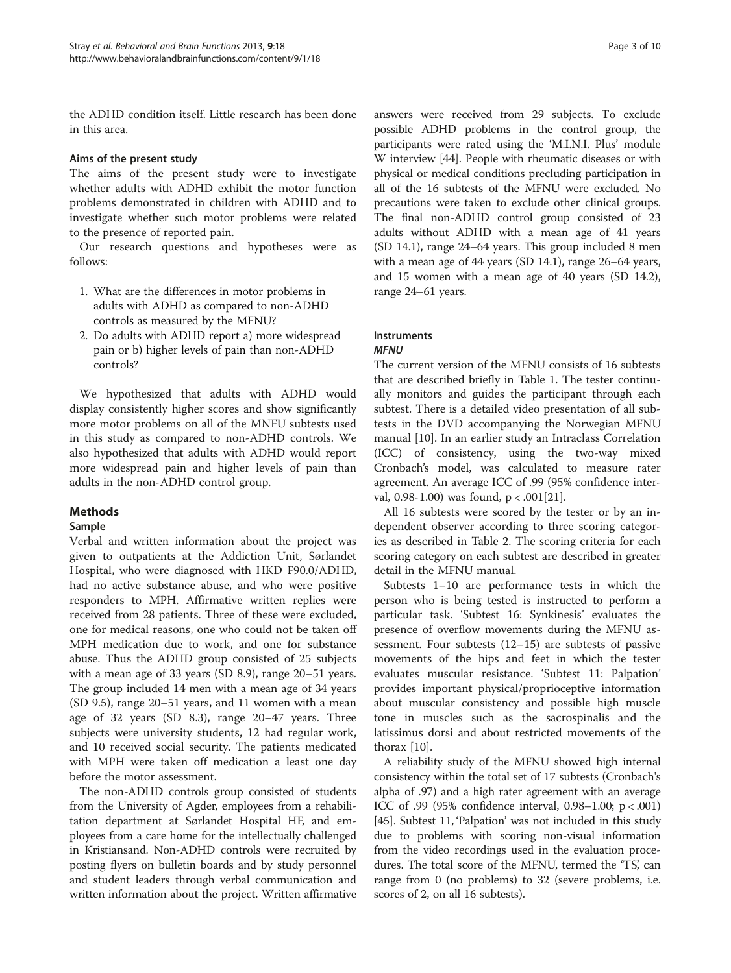the ADHD condition itself. Little research has been done in this area.

#### Aims of the present study

The aims of the present study were to investigate whether adults with ADHD exhibit the motor function problems demonstrated in children with ADHD and to investigate whether such motor problems were related to the presence of reported pain.

Our research questions and hypotheses were as follows:

- 1. What are the differences in motor problems in adults with ADHD as compared to non-ADHD controls as measured by the MFNU?
- 2. Do adults with ADHD report a) more widespread pain or b) higher levels of pain than non-ADHD controls?

We hypothesized that adults with ADHD would display consistently higher scores and show significantly more motor problems on all of the MNFU subtests used in this study as compared to non-ADHD controls. We also hypothesized that adults with ADHD would report more widespread pain and higher levels of pain than adults in the non-ADHD control group.

# Methods

#### Sample

Verbal and written information about the project was given to outpatients at the Addiction Unit, Sørlandet Hospital, who were diagnosed with HKD F90.0/ADHD, had no active substance abuse, and who were positive responders to MPH. Affirmative written replies were received from 28 patients. Three of these were excluded, one for medical reasons, one who could not be taken off MPH medication due to work, and one for substance abuse. Thus the ADHD group consisted of 25 subjects with a mean age of 33 years (SD 8.9), range 20–51 years. The group included 14 men with a mean age of 34 years (SD 9.5), range 20–51 years, and 11 women with a mean age of 32 years (SD 8.3), range 20–47 years. Three subjects were university students, 12 had regular work, and 10 received social security. The patients medicated with MPH were taken off medication a least one day before the motor assessment.

The non-ADHD controls group consisted of students from the University of Agder, employees from a rehabilitation department at Sørlandet Hospital HF, and employees from a care home for the intellectually challenged in Kristiansand. Non-ADHD controls were recruited by posting flyers on bulletin boards and by study personnel and student leaders through verbal communication and written information about the project. Written affirmative

answers were received from 29 subjects. To exclude possible ADHD problems in the control group, the participants were rated using the 'M.I.N.I. Plus' module W interview [\[44\]](#page-8-0). People with rheumatic diseases or with physical or medical conditions precluding participation in all of the 16 subtests of the MFNU were excluded. No precautions were taken to exclude other clinical groups. The final non-ADHD control group consisted of 23 adults without ADHD with a mean age of 41 years (SD 14.1), range 24–64 years. This group included 8 men with a mean age of 44 years (SD 14.1), range 26–64 years, and 15 women with a mean age of 40 years (SD 14.2), range 24–61 years.

#### **Instruments MFNU**

The current version of the MFNU consists of 16 subtests that are described briefly in Table [1.](#page-3-0) The tester continually monitors and guides the participant through each subtest. There is a detailed video presentation of all subtests in the DVD accompanying the Norwegian MFNU manual [\[10\]](#page-8-0). In an earlier study an Intraclass Correlation (ICC) of consistency, using the two-way mixed Cronbach's model, was calculated to measure rater agreement. An average ICC of .99 (95% confidence interval, 0.98-1.00) was found, p < .001[\[21](#page-8-0)].

All 16 subtests were scored by the tester or by an independent observer according to three scoring categories as described in Table [2.](#page-4-0) The scoring criteria for each scoring category on each subtest are described in greater detail in the MFNU manual.

Subtests 1–10 are performance tests in which the person who is being tested is instructed to perform a particular task. 'Subtest 16: Synkinesis' evaluates the presence of overflow movements during the MFNU assessment. Four subtests (12–15) are subtests of passive movements of the hips and feet in which the tester evaluates muscular resistance. 'Subtest 11: Palpation' provides important physical/proprioceptive information about muscular consistency and possible high muscle tone in muscles such as the sacrospinalis and the latissimus dorsi and about restricted movements of the thorax  $|10|$ .

A reliability study of the MFNU showed high internal consistency within the total set of 17 subtests (Cronbach's alpha of .97) and a high rater agreement with an average ICC of .99 (95% confidence interval, 0.98–1.00; p < .001) [[45](#page-8-0)]. Subtest 11, 'Palpation' was not included in this study due to problems with scoring non-visual information from the video recordings used in the evaluation procedures. The total score of the MFNU, termed the 'TS', can range from 0 (no problems) to 32 (severe problems, i.e. scores of 2, on all 16 subtests).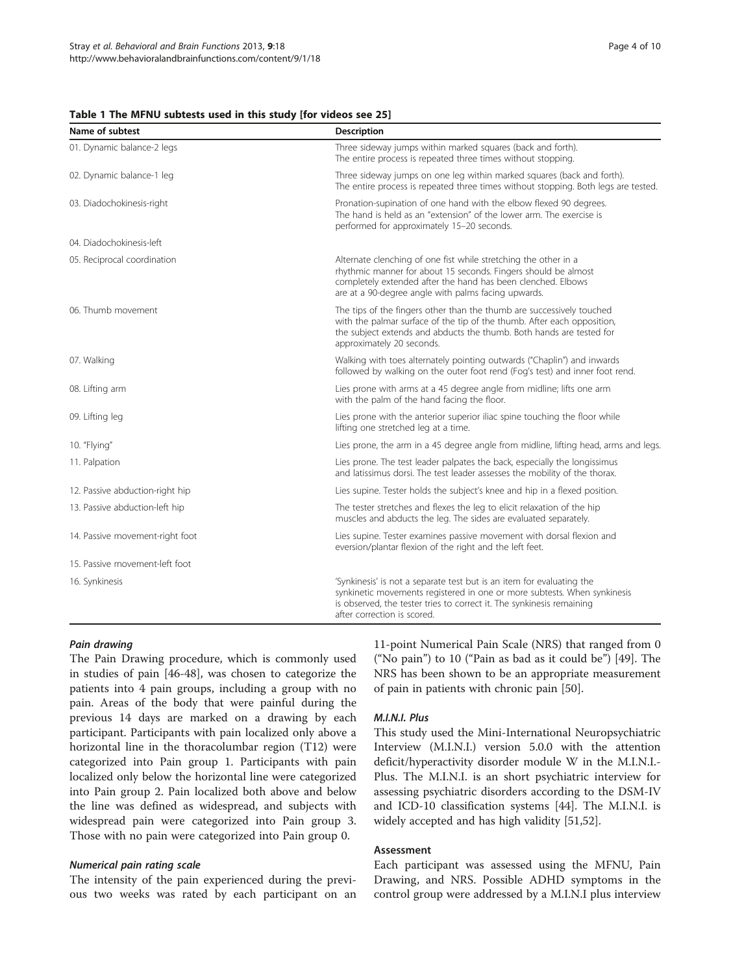<span id="page-3-0"></span>

|  | Table 1 The MFNU subtests used in this study [for videos see 25] |  |  |  |  |  |  |  |  |
|--|------------------------------------------------------------------|--|--|--|--|--|--|--|--|
|--|------------------------------------------------------------------|--|--|--|--|--|--|--|--|

| Name of subtest                 | <b>Description</b>                                                                                                                                                                                                                                        |
|---------------------------------|-----------------------------------------------------------------------------------------------------------------------------------------------------------------------------------------------------------------------------------------------------------|
| 01. Dynamic balance-2 legs      | Three sideway jumps within marked squares (back and forth).<br>The entire process is repeated three times without stopping.                                                                                                                               |
| 02. Dynamic balance-1 leg       | Three sideway jumps on one leg within marked squares (back and forth).<br>The entire process is repeated three times without stopping. Both legs are tested.                                                                                              |
| 03. Diadochokinesis-right       | Pronation-supination of one hand with the elbow flexed 90 degrees.<br>The hand is held as an "extension" of the lower arm. The exercise is<br>performed for approximately 15-20 seconds.                                                                  |
| 04. Diadochokinesis-left        |                                                                                                                                                                                                                                                           |
| 05. Reciprocal coordination     | Alternate clenching of one fist while stretching the other in a<br>rhythmic manner for about 15 seconds. Fingers should be almost<br>completely extended after the hand has been clenched. Elbows<br>are at a 90-degree angle with palms facing upwards.  |
| 06. Thumb movement              | The tips of the fingers other than the thumb are successively touched<br>with the palmar surface of the tip of the thumb. After each opposition,<br>the subject extends and abducts the thumb. Both hands are tested for<br>approximately 20 seconds.     |
| 07. Walking                     | Walking with toes alternately pointing outwards ("Chaplin") and inwards<br>followed by walking on the outer foot rend (Fog's test) and inner foot rend.                                                                                                   |
| 08. Lifting arm                 | Lies prone with arms at a 45 degree angle from midline; lifts one arm<br>with the palm of the hand facing the floor.                                                                                                                                      |
| 09. Lifting leg                 | Lies prone with the anterior superior iliac spine touching the floor while<br>lifting one stretched leg at a time.                                                                                                                                        |
| 10. "Flying"                    | Lies prone, the arm in a 45 degree angle from midline, lifting head, arms and legs.                                                                                                                                                                       |
| 11. Palpation                   | Lies prone. The test leader palpates the back, especially the longissimus<br>and latissimus dorsi. The test leader assesses the mobility of the thorax.                                                                                                   |
| 12. Passive abduction-right hip | Lies supine. Tester holds the subject's knee and hip in a flexed position.                                                                                                                                                                                |
| 13. Passive abduction-left hip  | The tester stretches and flexes the leg to elicit relaxation of the hip<br>muscles and abducts the leg. The sides are evaluated separately.                                                                                                               |
| 14. Passive movement-right foot | Lies supine. Tester examines passive movement with dorsal flexion and<br>eversion/plantar flexion of the right and the left feet.                                                                                                                         |
| 15. Passive movement-left foot  |                                                                                                                                                                                                                                                           |
| 16. Synkinesis                  | 'Synkinesis' is not a separate test but is an item for evaluating the<br>synkinetic movements registered in one or more subtests. When synkinesis<br>is observed, the tester tries to correct it. The synkinesis remaining<br>after correction is scored. |

#### Pain drawing

The Pain Drawing procedure, which is commonly used in studies of pain [[46-48](#page-8-0)], was chosen to categorize the patients into 4 pain groups, including a group with no pain. Areas of the body that were painful during the previous 14 days are marked on a drawing by each participant. Participants with pain localized only above a horizontal line in the thoracolumbar region (T12) were categorized into Pain group 1. Participants with pain localized only below the horizontal line were categorized into Pain group 2. Pain localized both above and below the line was defined as widespread, and subjects with widespread pain were categorized into Pain group 3. Those with no pain were categorized into Pain group 0.

#### Numerical pain rating scale

The intensity of the pain experienced during the previous two weeks was rated by each participant on an

11-point Numerical Pain Scale (NRS) that ranged from 0 ("No pain") to 10 ("Pain as bad as it could be") [\[49](#page-8-0)]. The NRS has been shown to be an appropriate measurement of pain in patients with chronic pain [[50](#page-8-0)].

#### M.I.N.I. Plus

This study used the Mini-International Neuropsychiatric Interview (M.I.N.I.) version 5.0.0 with the attention deficit/hyperactivity disorder module W in the M.I.N.I.- Plus. The M.I.N.I. is an short psychiatric interview for assessing psychiatric disorders according to the DSM-IV and ICD-10 classification systems [\[44](#page-8-0)]. The M.I.N.I. is widely accepted and has high validity [[51,52\]](#page-8-0).

#### Assessment

Each participant was assessed using the MFNU, Pain Drawing, and NRS. Possible ADHD symptoms in the control group were addressed by a M.I.N.I plus interview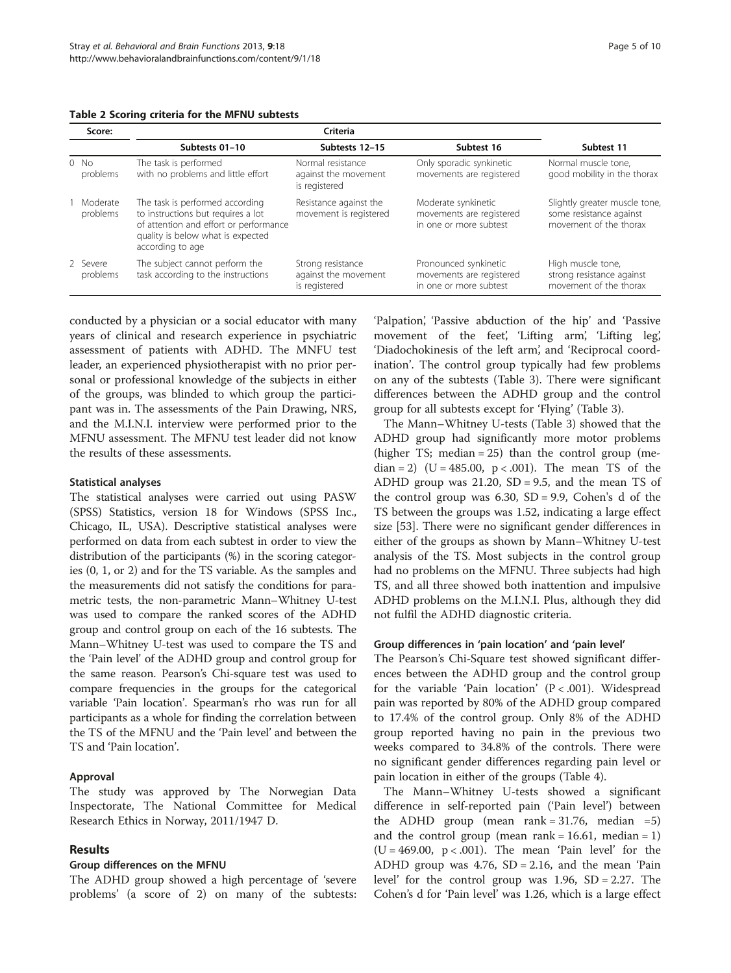<span id="page-4-0"></span>Table 2 Scoring criteria for the MFNU subtests

| Score: |                      |                                                                                                                                                                          |                                                            |                                                                             |                                                                                    |
|--------|----------------------|--------------------------------------------------------------------------------------------------------------------------------------------------------------------------|------------------------------------------------------------|-----------------------------------------------------------------------------|------------------------------------------------------------------------------------|
|        |                      | Subtests 01-10                                                                                                                                                           | Subtests 12-15                                             | Subtest 16                                                                  | Subtest 11                                                                         |
|        | $0$ No<br>problems   | The task is performed<br>with no problems and little effort                                                                                                              | Normal resistance<br>against the movement<br>is registered | Only sporadic synkinetic<br>movements are registered                        | Normal muscle tone.<br>good mobility in the thorax                                 |
|        | Moderate<br>problems | The task is performed according<br>to instructions but requires a lot<br>of attention and effort or performance<br>quality is below what is expected<br>according to age | Resistance against the<br>movement is registered           | Moderate synkinetic<br>movements are registered<br>in one or more subtest   | Slightly greater muscle tone,<br>some resistance against<br>movement of the thorax |
|        | 2 Severe<br>problems | The subject cannot perform the<br>task according to the instructions                                                                                                     | Strong resistance<br>against the movement<br>is registered | Pronounced synkinetic<br>movements are registered<br>in one or more subtest | High muscle tone,<br>strong resistance against<br>movement of the thorax           |

conducted by a physician or a social educator with many years of clinical and research experience in psychiatric assessment of patients with ADHD. The MNFU test leader, an experienced physiotherapist with no prior personal or professional knowledge of the subjects in either of the groups, was blinded to which group the participant was in. The assessments of the Pain Drawing, NRS, and the M.I.N.I. interview were performed prior to the MFNU assessment. The MFNU test leader did not know the results of these assessments.

#### Statistical analyses

The statistical analyses were carried out using PASW (SPSS) Statistics, version 18 for Windows (SPSS Inc., Chicago, IL, USA). Descriptive statistical analyses were performed on data from each subtest in order to view the distribution of the participants (%) in the scoring categories (0, 1, or 2) and for the TS variable. As the samples and the measurements did not satisfy the conditions for parametric tests, the non-parametric Mann–Whitney U-test was used to compare the ranked scores of the ADHD group and control group on each of the 16 subtests. The Mann–Whitney U-test was used to compare the TS and the 'Pain level' of the ADHD group and control group for the same reason. Pearson's Chi-square test was used to compare frequencies in the groups for the categorical variable 'Pain location'. Spearman's rho was run for all participants as a whole for finding the correlation between the TS of the MFNU and the 'Pain level' and between the TS and 'Pain location'.

#### Approval

The study was approved by The Norwegian Data Inspectorate, The National Committee for Medical Research Ethics in Norway, 2011/1947 D.

#### Results

#### Group differences on the MFNU

The ADHD group showed a high percentage of 'severe problems' (a score of 2) on many of the subtests: 'Palpation', 'Passive abduction of the hip' and 'Passive movement of the feet', 'Lifting arm', 'Lifting leg', 'Diadochokinesis of the left arm', and 'Reciprocal coordination'. The control group typically had few problems on any of the subtests (Table [3](#page-5-0)). There were significant differences between the ADHD group and the control group for all subtests except for 'Flying' (Table [3](#page-5-0)).

The Mann–Whitney U-tests (Table [3](#page-5-0)) showed that the ADHD group had significantly more motor problems (higher TS; median = 25) than the control group (median = 2) ( $U = 485.00$ ,  $p < .001$ ). The mean TS of the ADHD group was  $21.20$ ,  $SD = 9.5$ , and the mean TS of the control group was  $6.30$ ,  $SD = 9.9$ , Cohen's d of the TS between the groups was 1.52, indicating a large effect size [\[53\]](#page-8-0). There were no significant gender differences in either of the groups as shown by Mann–Whitney U-test analysis of the TS. Most subjects in the control group had no problems on the MFNU. Three subjects had high TS, and all three showed both inattention and impulsive ADHD problems on the M.I.N.I. Plus, although they did not fulfil the ADHD diagnostic criteria.

#### Group differences in 'pain location' and 'pain level'

The Pearson's Chi-Square test showed significant differences between the ADHD group and the control group for the variable 'Pain location'  $(P < .001)$ . Widespread pain was reported by 80% of the ADHD group compared to 17.4% of the control group. Only 8% of the ADHD group reported having no pain in the previous two weeks compared to 34.8% of the controls. There were no significant gender differences regarding pain level or pain location in either of the groups (Table [4](#page-5-0)).

The Mann–Whitney U-tests showed a significant difference in self-reported pain ('Pain level') between the ADHD group (mean rank =  $31.76$ , median =  $5$ ) and the control group (mean rank =  $16.61$ , median = 1)  $(U = 469.00, p < .001)$ . The mean 'Pain level' for the ADHD group was  $4.76$ , SD = 2.16, and the mean 'Pain level' for the control group was  $1.96$ , SD = 2.27. The Cohen's d for 'Pain level' was 1.26, which is a large effect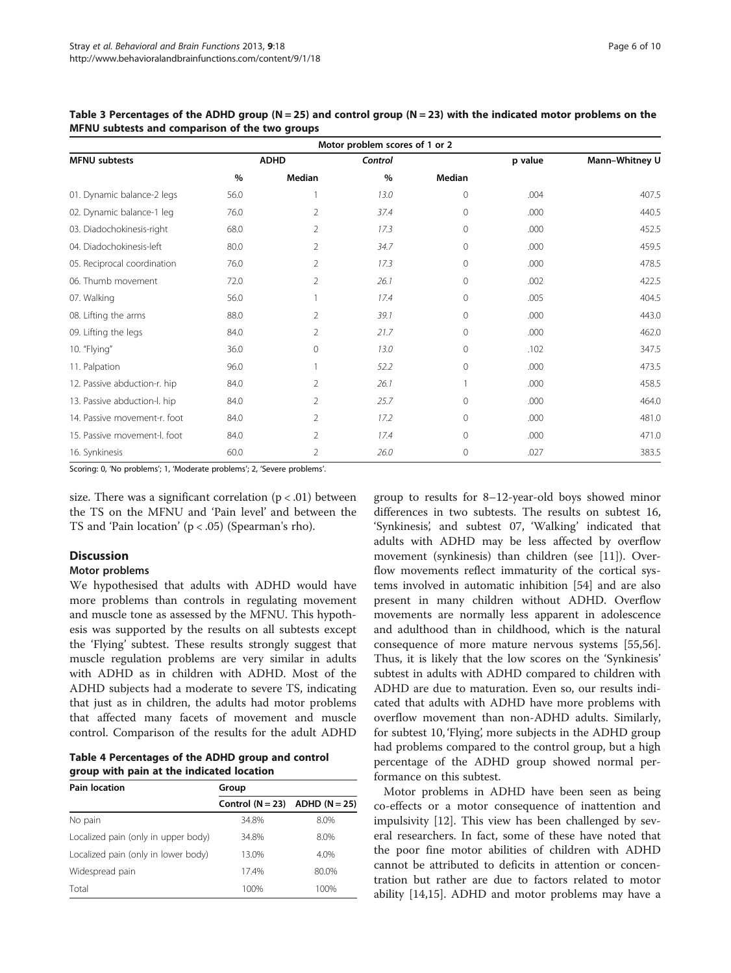| Motor problem scores of 1 or 2 |      |                |         |              |         |                |
|--------------------------------|------|----------------|---------|--------------|---------|----------------|
| <b>MFNU</b> subtests           |      | <b>ADHD</b>    | Control |              | p value | Mann-Whitney U |
|                                | $\%$ | Median         | $\%$    | Median       |         |                |
| 01. Dynamic balance-2 legs     | 56.0 |                | 13.0    | $\mathbf 0$  | .004    | 407.5          |
| 02. Dynamic balance-1 leg      | 76.0 | $\overline{2}$ | 37.4    | 0            | .000    | 440.5          |
| 03. Diadochokinesis-right      | 68.0 | $\overline{2}$ | 17.3    | 0            | .000    | 452.5          |
| 04. Diadochokinesis-left       | 80.0 | $\overline{2}$ | 34.7    | 0            | .000    | 459.5          |
| 05. Reciprocal coordination    | 76.0 | $\overline{2}$ | 17.3    | $\mathbf{0}$ | .000    | 478.5          |
| 06. Thumb movement             | 72.0 | $\overline{2}$ | 26.1    | 0            | .002    | 422.5          |
| 07. Walking                    | 56.0 |                | 17.4    | 0            | .005    | 404.5          |
| 08. Lifting the arms           | 88.0 | $\overline{2}$ | 39.1    | 0            | .000    | 443.0          |
| 09. Lifting the legs           | 84.0 | $\overline{2}$ | 21.7    | 0            | .000    | 462.0          |
| 10. "Flying"                   | 36.0 | 0              | 13.0    | 0            | .102    | 347.5          |
| 11. Palpation                  | 96.0 |                | 52.2    | $\mathbf 0$  | .000    | 473.5          |
| 12. Passive abduction-r. hip   | 84.0 | $\overline{2}$ | 26.1    |              | .000    | 458.5          |
| 13. Passive abduction-I. hip   | 84.0 | $\overline{2}$ | 25.7    | $\Omega$     | .000    | 464.0          |
| 14. Passive movement-r. foot   | 84.0 | $\overline{2}$ | 17.2    | 0            | .000    | 481.0          |
| 15. Passive movement-l. foot   | 84.0 | $\overline{2}$ | 17.4    | 0            | .000    | 471.0          |
| 16. Synkinesis                 | 60.0 | $\overline{2}$ | 26.0    | 0            | .027    | 383.5          |

<span id="page-5-0"></span>Table 3 Percentages of the ADHD group (N = 25) and control group (N = 23) with the indicated motor problems on the MFNU subtests and comparison of the two groups

Scoring: 0, 'No problems'; 1, 'Moderate problems'; 2, 'Severe problems'.

size. There was a significant correlation ( $p < .01$ ) between the TS on the MFNU and 'Pain level' and between the TS and 'Pain location'  $(p < .05)$  (Spearman's rho).

#### Discussion

#### Motor problems

We hypothesised that adults with ADHD would have more problems than controls in regulating movement and muscle tone as assessed by the MFNU. This hypothesis was supported by the results on all subtests except the 'Flying' subtest. These results strongly suggest that muscle regulation problems are very similar in adults with ADHD as in children with ADHD. Most of the ADHD subjects had a moderate to severe TS, indicating that just as in children, the adults had motor problems that affected many facets of movement and muscle control. Comparison of the results for the adult ADHD

Table 4 Percentages of the ADHD group and control group with pain at the indicated location

| <b>Pain location</b>                | Group                                  |       |  |  |  |
|-------------------------------------|----------------------------------------|-------|--|--|--|
|                                     | Control ( $N = 23$ ) ADHD ( $N = 25$ ) |       |  |  |  |
| No pain                             | 34.8%                                  | 8.0%  |  |  |  |
| Localized pain (only in upper body) | 34.8%                                  | 8.0%  |  |  |  |
| Localized pain (only in lower body) | 13.0%                                  | 4.0%  |  |  |  |
| Widespread pain                     | 17.4%                                  | 80.0% |  |  |  |
| Total                               | 100%                                   | 100%  |  |  |  |

group to results for 8–12-year-old boys showed minor differences in two subtests. The results on subtest 16, 'Synkinesis', and subtest 07, 'Walking' indicated that adults with ADHD may be less affected by overflow movement (synkinesis) than children (see [[11](#page-8-0)]). Overflow movements reflect immaturity of the cortical systems involved in automatic inhibition [\[54\]](#page-8-0) and are also present in many children without ADHD. Overflow movements are normally less apparent in adolescence and adulthood than in childhood, which is the natural consequence of more mature nervous systems [\[55,56](#page-8-0)]. Thus, it is likely that the low scores on the 'Synkinesis' subtest in adults with ADHD compared to children with ADHD are due to maturation. Even so, our results indicated that adults with ADHD have more problems with overflow movement than non-ADHD adults. Similarly, for subtest 10, 'Flying', more subjects in the ADHD group had problems compared to the control group, but a high percentage of the ADHD group showed normal performance on this subtest.

Motor problems in ADHD have been seen as being co-effects or a motor consequence of inattention and impulsivity [[12\]](#page-8-0). This view has been challenged by several researchers. In fact, some of these have noted that the poor fine motor abilities of children with ADHD cannot be attributed to deficits in attention or concentration but rather are due to factors related to motor ability [[14](#page-8-0),[15](#page-8-0)]. ADHD and motor problems may have a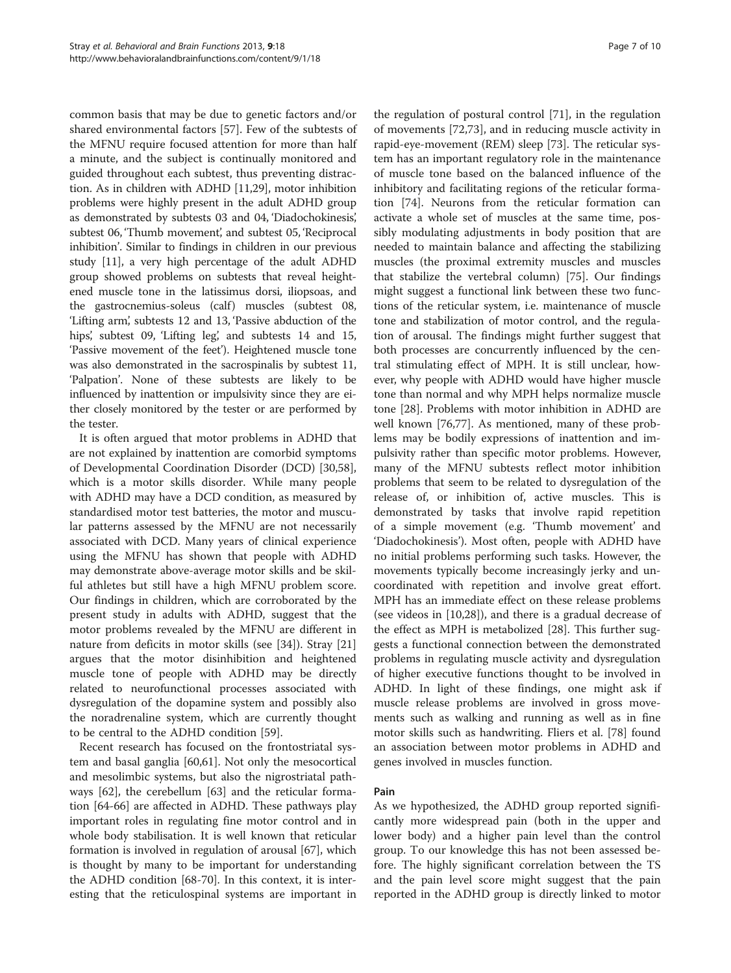common basis that may be due to genetic factors and/or shared environmental factors [\[57](#page-8-0)]. Few of the subtests of the MFNU require focused attention for more than half a minute, and the subject is continually monitored and guided throughout each subtest, thus preventing distraction. As in children with ADHD [\[11,29](#page-8-0)], motor inhibition problems were highly present in the adult ADHD group as demonstrated by subtests 03 and 04, 'Diadochokinesis', subtest 06, 'Thumb movement', and subtest 05, 'Reciprocal inhibition'. Similar to findings in children in our previous study [\[11\]](#page-8-0), a very high percentage of the adult ADHD group showed problems on subtests that reveal heightened muscle tone in the latissimus dorsi, iliopsoas, and the gastrocnemius-soleus (calf) muscles (subtest 08, 'Lifting arm', subtests 12 and 13, 'Passive abduction of the hips', subtest 09, 'Lifting leg', and subtests 14 and 15, 'Passive movement of the feet'). Heightened muscle tone was also demonstrated in the sacrospinalis by subtest 11, 'Palpation'. None of these subtests are likely to be influenced by inattention or impulsivity since they are either closely monitored by the tester or are performed by the tester.

It is often argued that motor problems in ADHD that are not explained by inattention are comorbid symptoms of Developmental Coordination Disorder (DCD) [\[30,58](#page-8-0)], which is a motor skills disorder. While many people with ADHD may have a DCD condition, as measured by standardised motor test batteries, the motor and muscular patterns assessed by the MFNU are not necessarily associated with DCD. Many years of clinical experience using the MFNU has shown that people with ADHD may demonstrate above-average motor skills and be skilful athletes but still have a high MFNU problem score. Our findings in children, which are corroborated by the present study in adults with ADHD, suggest that the motor problems revealed by the MFNU are different in nature from deficits in motor skills (see [[34](#page-8-0)]). Stray [[21](#page-8-0)] argues that the motor disinhibition and heightened muscle tone of people with ADHD may be directly related to neurofunctional processes associated with dysregulation of the dopamine system and possibly also the noradrenaline system, which are currently thought to be central to the ADHD condition [\[59](#page-8-0)].

Recent research has focused on the frontostriatal system and basal ganglia [[60](#page-9-0),[61](#page-9-0)]. Not only the mesocortical and mesolimbic systems, but also the nigrostriatal pathways [\[62](#page-9-0)], the cerebellum [[63](#page-9-0)] and the reticular formation [\[64](#page-9-0)-[66\]](#page-9-0) are affected in ADHD. These pathways play important roles in regulating fine motor control and in whole body stabilisation. It is well known that reticular formation is involved in regulation of arousal [\[67\]](#page-9-0), which is thought by many to be important for understanding the ADHD condition [[68-70\]](#page-9-0). In this context, it is interesting that the reticulospinal systems are important in

the regulation of postural control [[71](#page-9-0)], in the regulation of movements [\[72,73\]](#page-9-0), and in reducing muscle activity in rapid-eye-movement (REM) sleep [[73\]](#page-9-0). The reticular system has an important regulatory role in the maintenance of muscle tone based on the balanced influence of the inhibitory and facilitating regions of the reticular formation [\[74](#page-9-0)]. Neurons from the reticular formation can activate a whole set of muscles at the same time, possibly modulating adjustments in body position that are needed to maintain balance and affecting the stabilizing muscles (the proximal extremity muscles and muscles that stabilize the vertebral column) [\[75](#page-9-0)]. Our findings might suggest a functional link between these two functions of the reticular system, i.e. maintenance of muscle tone and stabilization of motor control, and the regulation of arousal. The findings might further suggest that both processes are concurrently influenced by the central stimulating effect of MPH. It is still unclear, however, why people with ADHD would have higher muscle tone than normal and why MPH helps normalize muscle tone [\[28](#page-8-0)]. Problems with motor inhibition in ADHD are well known [\[76,77\]](#page-9-0). As mentioned, many of these problems may be bodily expressions of inattention and impulsivity rather than specific motor problems. However, many of the MFNU subtests reflect motor inhibition problems that seem to be related to dysregulation of the release of, or inhibition of, active muscles. This is demonstrated by tasks that involve rapid repetition of a simple movement (e.g. 'Thumb movement' and 'Diadochokinesis'). Most often, people with ADHD have no initial problems performing such tasks. However, the movements typically become increasingly jerky and uncoordinated with repetition and involve great effort. MPH has an immediate effect on these release problems (see videos in [[10](#page-8-0),[28](#page-8-0)]), and there is a gradual decrease of the effect as MPH is metabolized [\[28](#page-8-0)]. This further suggests a functional connection between the demonstrated problems in regulating muscle activity and dysregulation of higher executive functions thought to be involved in ADHD. In light of these findings, one might ask if muscle release problems are involved in gross movements such as walking and running as well as in fine motor skills such as handwriting. Fliers et al. [\[78\]](#page-9-0) found an association between motor problems in ADHD and genes involved in muscles function.

#### Pain

As we hypothesized, the ADHD group reported significantly more widespread pain (both in the upper and lower body) and a higher pain level than the control group. To our knowledge this has not been assessed before. The highly significant correlation between the TS and the pain level score might suggest that the pain reported in the ADHD group is directly linked to motor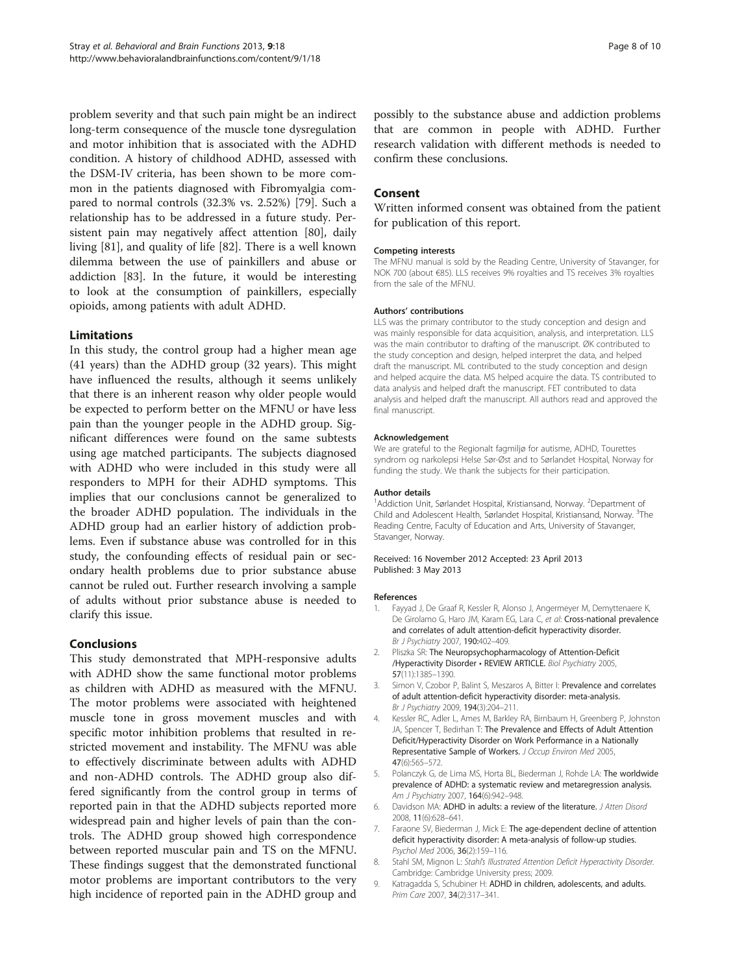<span id="page-7-0"></span>problem severity and that such pain might be an indirect long-term consequence of the muscle tone dysregulation and motor inhibition that is associated with the ADHD condition. A history of childhood ADHD, assessed with the DSM-IV criteria, has been shown to be more common in the patients diagnosed with Fibromyalgia compared to normal controls (32.3% vs. 2.52%) [[79](#page-9-0)]. Such a relationship has to be addressed in a future study. Persistent pain may negatively affect attention [\[80\]](#page-9-0), daily living [\[81\]](#page-9-0), and quality of life [\[82](#page-9-0)]. There is a well known dilemma between the use of painkillers and abuse or addiction [[83](#page-9-0)]. In the future, it would be interesting to look at the consumption of painkillers, especially opioids, among patients with adult ADHD.

### Limitations

In this study, the control group had a higher mean age (41 years) than the ADHD group (32 years). This might have influenced the results, although it seems unlikely that there is an inherent reason why older people would be expected to perform better on the MFNU or have less pain than the younger people in the ADHD group. Significant differences were found on the same subtests using age matched participants. The subjects diagnosed with ADHD who were included in this study were all responders to MPH for their ADHD symptoms. This implies that our conclusions cannot be generalized to the broader ADHD population. The individuals in the ADHD group had an earlier history of addiction problems. Even if substance abuse was controlled for in this study, the confounding effects of residual pain or secondary health problems due to prior substance abuse cannot be ruled out. Further research involving a sample of adults without prior substance abuse is needed to clarify this issue.

#### Conclusions

This study demonstrated that MPH-responsive adults with ADHD show the same functional motor problems as children with ADHD as measured with the MFNU. The motor problems were associated with heightened muscle tone in gross movement muscles and with specific motor inhibition problems that resulted in restricted movement and instability. The MFNU was able to effectively discriminate between adults with ADHD and non-ADHD controls. The ADHD group also differed significantly from the control group in terms of reported pain in that the ADHD subjects reported more widespread pain and higher levels of pain than the controls. The ADHD group showed high correspondence between reported muscular pain and TS on the MFNU. These findings suggest that the demonstrated functional motor problems are important contributors to the very high incidence of reported pain in the ADHD group and possibly to the substance abuse and addiction problems that are common in people with ADHD. Further research validation with different methods is needed to confirm these conclusions.

#### Consent

Written informed consent was obtained from the patient for publication of this report.

#### Competing interests

The MFNU manual is sold by the Reading Centre, University of Stavanger, for NOK 700 (about €85). LLS receives 9% royalties and TS receives 3% royalties from the sale of the MFNU.

#### Authors' contributions

LLS was the primary contributor to the study conception and design and was mainly responsible for data acquisition, analysis, and interpretation. LLS was the main contributor to drafting of the manuscript. ØK contributed to the study conception and design, helped interpret the data, and helped draft the manuscript. ML contributed to the study conception and design and helped acquire the data. MS helped acquire the data. TS contributed to data analysis and helped draft the manuscript. FET contributed to data analysis and helped draft the manuscript. All authors read and approved the final manuscript.

#### Acknowledgement

We are grateful to the Regionalt fagmiljø for autisme, ADHD, Tourettes syndrom og narkolepsi Helse Sør-Øst and to Sørlandet Hospital, Norway for funding the study. We thank the subjects for their participation.

#### Author details

<sup>1</sup> Addiction Unit, Sørlandet Hospital, Kristiansand, Norway. <sup>2</sup> Department of Child and Adolescent Health, Sørlandet Hospital, Kristiansand, Norway. <sup>3</sup>The Reading Centre, Faculty of Education and Arts, University of Stavanger, Stavanger, Norway.

#### Received: 16 November 2012 Accepted: 23 April 2013 Published: 3 May 2013

#### References

- 1. Fayyad J, De Graaf R, Kessler R, Alonso J, Angermeyer M, Demyttenaere K, De Girolamo G, Haro JM, Karam EG, Lara C, et al: Cross-national prevalence and correlates of adult attention-deficit hyperactivity disorder. Br J Psychiatry 2007, 190:402–409.
- 2. Pliszka SR: The Neuropsychopharmacology of Attention-Deficit /Hyperactivity Disorder • REVIEW ARTICLE. Biol Psychiatry 2005, 57(11):1385–1390.
- 3. Simon V, Czobor P, Balint S, Meszaros A, Bitter I: Prevalence and correlates of adult attention-deficit hyperactivity disorder: meta-analysis. Br J Psychiatry 2009, 194(3):204–211.
- 4. Kessler RC, Adler L, Ames M, Barkley RA, Birnbaum H, Greenberg P, Johnston JA, Spencer T, Bedirhan T: The Prevalence and Effects of Adult Attention Deficit/Hyperactivity Disorder on Work Performance in a Nationally Representative Sample of Workers. J Occup Environ Med 2005, 47(6):565–572.
- 5. Polanczyk G, de Lima MS, Horta BL, Biederman J, Rohde LA: The worldwide prevalence of ADHD: a systematic review and metaregression analysis. Am J Psychiatry 2007, 164(6):942–948.
- 6. Davidson MA: ADHD in adults: a review of the literature. J Atten Disord 2008, 11(6):628–641.
- 7. Faraone SV, Biederman J, Mick E: The age-dependent decline of attention deficit hyperactivity disorder: A meta-analysis of follow-up studies. Psychol Med 2006, 36(2):159–116.
- 8. Stahl SM, Mignon L: Stahl's Illustrated Attention Deficit Hyperactivity Disorder. Cambridge: Cambridge University press; 2009.
- 9. Katragadda S, Schubiner H: ADHD in children, adolescents, and adults. Prim Care 2007, 34(2):317–341.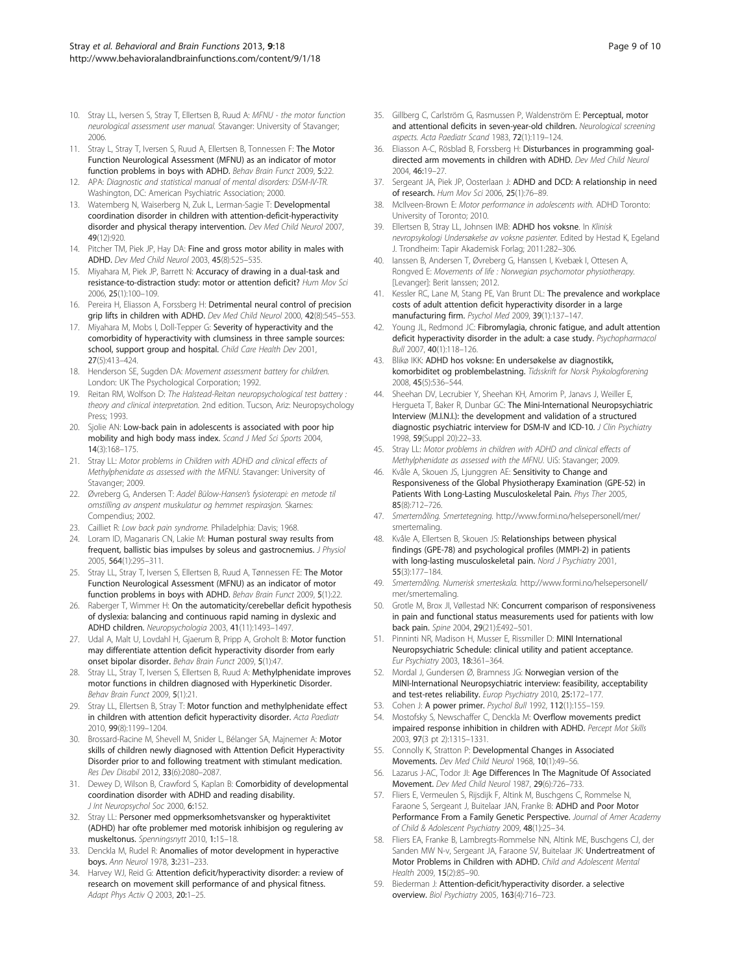- <span id="page-8-0"></span>10. Stray LL, Iversen S, Stray T, Ellertsen B, Ruud A: MFNU - the motor function neurological assessment user manual. Stavanger: University of Stavanger; 2006.
- 11. Stray L, Stray T, Iversen S, Ruud A, Ellertsen B, Tonnessen F: The Motor Function Neurological Assessment (MFNU) as an indicator of motor function problems in boys with ADHD. Behav Brain Funct 2009, 5:22.
- 12. APA: Diagnostic and statistical manual of mental disorders: DSM-IV-TR. Washington, DC: American Psychiatric Association; 2000.
- 13. Watemberg N, Waiserberg N, Zuk L, Lerman-Sagie T: Developmental coordination disorder in children with attention-deficit-hyperactivity disorder and physical therapy intervention. Dev Med Child Neurol 2007, 49(12):920.
- 14. Pitcher TM, Piek JP, Hay DA: Fine and gross motor ability in males with ADHD. Dev Med Child Neurol 2003, 45(8):525–535.
- 15. Miyahara M, Piek JP, Barrett N: Accuracy of drawing in a dual-task and resistance-to-distraction study: motor or attention deficit? Hum Mov Sci 2006, 25(1):100–109.
- 16. Pereira H, Eliasson A, Forssberg H: Detrimental neural control of precision grip lifts in children with ADHD. Dev Med Child Neurol 2000, 42(8):545–553.
- 17. Miyahara M, Mobs I, Doll-Tepper G: Severity of hyperactivity and the comorbidity of hyperactivity with clumsiness in three sample sources: school, support group and hospital. Child Care Health Dev 2001, 27(5):413–424.
- 18. Henderson SE, Sugden DA: Movement assessment battery for children. London: UK The Psychological Corporation; 1992.
- 19. Reitan RM, Wolfson D: The Halstead-Reitan neuropsychological test battery : theory and clinical interpretation. 2nd edition. Tucson, Ariz: Neuropsychology Press; 1993.
- 20. Sjolie AN: Low-back pain in adolescents is associated with poor hip mobility and high body mass index. Scand J Med Sci Sports 2004, 14(3):168–175.
- 21. Stray LL: Motor problems in Children with ADHD and clinical effects of Methylphenidate as assessed with the MFNU. Stavanger: University of Stavanger: 2009.
- 22. Øvreberg G, Andersen T: Aadel Bülow-Hansen's fysioterapi: en metode til omstilling av anspent muskulatur og hemmet respirasjon. Skarnes: Compendius; 2002.
- 23. Cailliet R: Low back pain syndrome. Philadelphia: Davis; 1968.
- 24. Loram ID, Maganaris CN, Lakie M: Human postural sway results from frequent, ballistic bias impulses by soleus and gastrocnemius. J Physiol 2005, 564(1):295–311.
- 25. Stray LL, Stray T, Iversen S, Ellertsen B, Ruud A, Tønnessen FE: The Motor Function Neurological Assessment (MFNU) as an indicator of motor function problems in boys with ADHD. Behav Brain Funct 2009, 5(1):22.
- 26. Raberger T, Wimmer H: On the automaticity/cerebellar deficit hypothesis of dyslexia: balancing and continuous rapid naming in dyslexic and ADHD children. Neuropsychologia 2003, 41(11):1493–1497.
- 27. Udal A, Malt U, Lovdahl H, Gjaerum B, Pripp A, Groholt B: Motor function may differentiate attention deficit hyperactivity disorder from early onset bipolar disorder. Behav Brain Funct 2009, 5(1):47.
- 28. Stray LL, Stray T, Iversen S, Ellertsen B, Ruud A: Methylphenidate improves motor functions in children diagnosed with Hyperkinetic Disorder. Behav Brain Funct 2009, 5(1):21.
- 29. Stray LL, Ellertsen B, Stray T: Motor function and methylphenidate effect in children with attention deficit hyperactivity disorder. Acta Paediatr 2010, 99(8):1199–1204.
- 30. Brossard-Racine M, Shevell M, Snider L, Bélanger SA, Majnemer A: Motor skills of children newly diagnosed with Attention Deficit Hyperactivity Disorder prior to and following treatment with stimulant medication. Res Dev Disabil 2012, 33(6):2080–2087.
- 31. Dewey D, Wilson B, Crawford S, Kaplan B: Comorbidity of developmental coordination disorder with ADHD and reading disability. J Int Neuropsychol Soc 2000, 6:152.
- 32. Stray LL: Personer med oppmerksomhetsvansker og hyperaktivitet (ADHD) har ofte problemer med motorisk inhibisjon og regulering av muskeltonus. Spenningsnytt 2010, 1:15–18.
- 33. Denckla M, Rudel R: Anomalies of motor development in hyperactive boys. Ann Neurol 1978, 3:231–233.
- 34. Harvey WJ, Reid G: Attention deficit/hyperactivity disorder: a review of research on movement skill performance of and physical fitness. Adapt Phys Activ Q 2003, 20:1–25.
- 35. Gillberg C, Carlström G, Rasmussen P, Waldenström E: Perceptual, motor and attentional deficits in seven-year-old children. Neurological screening aspects. Acta Paediatr Scand 1983, 72(1):119–124.
- 36. Eliasson A-C, Rösblad B, Forssberg H: Disturbances in programming goaldirected arm movements in children with ADHD. Dev Med Child Neurol 2004, 46:19–27.
- 37. Sergeant JA, Piek JP, Oosterlaan J: ADHD and DCD: A relationship in need of research. Hum Mov Sci 2006, 25(1):76-89.
- 38. McIlveen-Brown E: Motor performance in adolescents with. ADHD Toronto: University of Toronto; 2010. 39. Ellertsen B, Stray LL, Johnsen IMB: ADHD hos voksne. In Klinisk
- nevropsykologi Undersøkelse av voksne pasienter. Edited by Hestad K, Egeland J. Trondheim: Tapir Akademisk Forlag; 2011:282–306.
- 40. Ianssen B, Andersen T, Øvreberg G, Hanssen I, Kvebæk I, Ottesen A, Rongved E: Movements of life : Norwegian psychomotor physiotherapy. [Levanger]: Berit Ianssen; 2012.
- 41. Kessler RC, Lane M, Stang PE, Van Brunt DL: The prevalence and workplace costs of adult attention deficit hyperactivity disorder in a large manufacturing firm. Psychol Med 2009, 39(1):137–147.
- 42. Young JL, Redmond JC: Fibromylagia, chronic fatigue, and adult attention deficit hyperactivity disorder in the adult: a case study. Psychopharmacol Bull 2007, 40(1):118–126.
- 43. Blikø IKK: ADHD hos voksne: En undersøkelse av diagnostikk, komorbiditet og problembelastning. Tidsskrift for Norsk Psykologforening 2008, 45(5):536–544.
- 44. Sheehan DV, Lecrubier Y, Sheehan KH, Amorim P, Janavs J, Weiller E, Hergueta T, Baker R, Dunbar GC: The Mini-International Neuropsychiatric Interview (M.I.N.I.): the development and validation of a structured diagnostic psychiatric interview for DSM-IV and ICD-10. J Clin Psychiatry 1998, 59(Suppl 20):22–33.
- 45. Stray LL: Motor problems in children with ADHD and clinical effects of Methylphenidate as assessed with the MFNU. UiS: Stavanger; 2009.
- 46. Kvåle A, Skouen JS, Ljunggren AE: Sensitivity to Change and Responsiveness of the Global Physiotherapy Examination (GPE-52) in Patients With Long-Lasting Musculoskeletal Pain. Phys Ther 2005, 85(8):712–726.
- 47. Smertemåling. Smertetegning. [http://www.formi.no/helsepersonell/mer/](http://www.formi.no/helsepersonell/mer/smertemaling) [smertemaling.](http://www.formi.no/helsepersonell/mer/smertemaling)
- 48. Kvåle A, Ellertsen B, Skouen JS: Relationships between physical findings (GPE-78) and psychological profiles (MMPI-2) in patients with long-lasting musculoskeletal pain. Nord J Psychiatry 2001, 55(3):177–184.
- 49. Smertemåling. Numerisk smerteskala. [http://www.formi.no/helsepersonell/](http://www.formi.no/helsepersonell/mer/smertemaling) [mer/smertemaling](http://www.formi.no/helsepersonell/mer/smertemaling).
- 50. Grotle M, Brox JI, Vøllestad NK: Concurrent comparison of responsiveness in pain and functional status measurements used for patients with low back pain. Spine 2004, 29(21):E492–501.
- 51. Pinninti NR, Madison H, Musser E, Rissmiller D: MINI International Neuropsychiatric Schedule: clinical utility and patient acceptance. Eur Psychiatry 2003, 18:361–364.
- 52. Mordal J, Gundersen Ø, Bramness JG: Norwegian version of the MINI-International Neuropsychiatric interview: feasibility, acceptability and test-retes reliability. Europ Psychiatry 2010, 25:172–177.
- 53. Cohen J: A power primer. Psychol Bull 1992, 112(1):155-159.
- 54. Mostofsky S, Newschaffer C, Denckla M: Overflow movements predict impaired response inhibition in children with ADHD. Percept Mot Skills 2003, 97(3 pt 2):1315–1331.
- 55. Connolly K, Stratton P: Developmental Changes in Associated Movements. Dev Med Child Neurol 1968, 10(1):49–56.
- 56. Lazarus J-AC, Todor JI: Age Differences In The Magnitude Of Associated Movement. Dev Med Child Neurol 1987, 29(6):726–733.
- 57. Fliers E, Vermeulen S, Rijsdijk F, Altink M, Buschgens C, Rommelse N, Faraone S, Sergeant J, Buitelaar JAN, Franke B: ADHD and Poor Motor Performance From a Family Genetic Perspective. Journal of Amer Academy of Child & Adolescent Psychiatry 2009, 48(1):25–34.
- 58. Fliers EA, Franke B, Lambregts-Rommelse NN, Altink ME, Buschgens CJ, der Sanden MW N-v, Sergeant JA, Faraone SV, Buitelaar JK: Undertreatment of Motor Problems in Children with ADHD. Child and Adolescent Mental Health 2009, 15(2):85–90.
- 59. Biederman J: Attention-deficit/hyperactivity disorder. a selective overview. Biol Psychiatry 2005, 163(4):716–723.